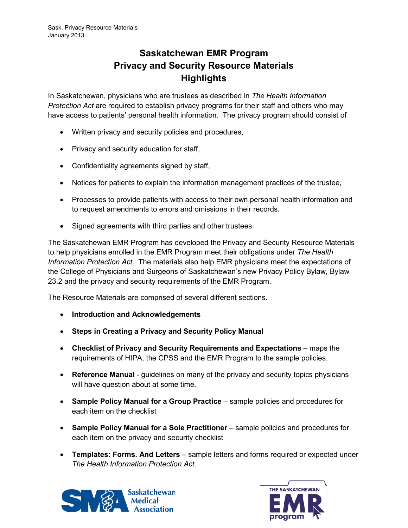## **Saskatchewan EMR Program Privacy and Security Resource Materials Highlights**

In Saskatchewan, physicians who are trustees as described in *The Health Information Protection Act* are required to establish privacy programs for their staff and others who may have access to patients' personal health information. The privacy program should consist of

- Written privacy and security policies and procedures,
- Privacy and security education for staff,
- Confidentiality agreements signed by staff,
- Notices for patients to explain the information management practices of the trustee,
- Processes to provide patients with access to their own personal health information and to request amendments to errors and omissions in their records.
- Signed agreements with third parties and other trustees.

The Saskatchewan EMR Program has developed the Privacy and Security Resource Materials to help physicians enrolled in the EMR Program meet their obligations under *The Health Information Protection Act*. The materials also help EMR physicians meet the expectations of the College of Physicians and Surgeons of Saskatchewan's new Privacy Policy Bylaw, Bylaw 23.2 and the privacy and security requirements of the EMR Program.

The Resource Materials are comprised of several different sections.

- **Introduction and Acknowledgements**
- **Steps in Creating a Privacy and Security Policy Manual**
- **Checklist of Privacy and Security Requirements and Expectations** maps the requirements of HIPA, the CPSS and the EMR Program to the sample policies.
- **Reference Manual** guidelines on many of the privacy and security topics physicians will have question about at some time.
- **Sample Policy Manual for a Group Practice** sample policies and procedures for each item on the checklist
- **Sample Policy Manual for a Sole Practitioner** sample policies and procedures for each item on the privacy and security checklist
- **Templates: Forms. And Letters** sample letters and forms required or expected under *The Health Information Protection Act*.